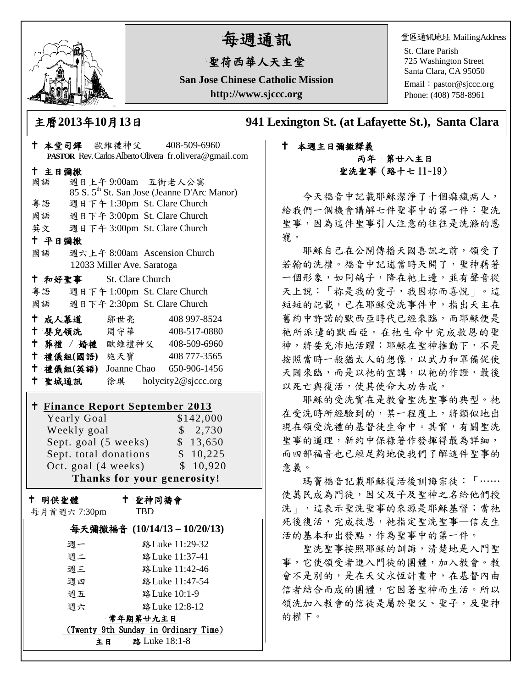

# 每週通訊

# 聖荷西華人天主堂

**San Jose Chinese Catholic Mission http://www.sjccc.org**

堂區通訊地址 MailingAddress

St. Clare Parish 725 Washington Street Santa Clara, CA 95050

Email: [pastor@sjccc.org](mailto:pastor@sjccc.org) Phone: (408) 758-8961

主曆**2013**年**10**月**13**日 **941 Lexington St. (at Lafayette St.), Santa Clara** 

# 本堂司鐸 歐維禮神父 408-509-6960 **PASTOR** Rev. Carlos Alberto Olivera fr.olivera@gmail.com 主日彌撒 國語 週日上午 9:00am 五街老人公寓 85 S. 5th St. San Jose (Jeanne D'Arc Manor) 粵語 週日下午 1:30pm St. Clare Church 國語 週日下午 3:00pm St. Clare Church 英文 週日下午 3:00pm St. Clare Church 平日彌撒 國語 週六上午 8:00am Ascension Church 12033 Miller Ave. Saratoga 和好聖事 St. Clare Church 粵語 週日下午 1:00pm St. Clare Church 國語 週日下午 2:30pm St. Clare Church 十成人慕道 鄒世亮 408 997-8524 十 嬰兒領洗 周守華 408-517-0880 葬禮 / 婚禮 歐維禮神父 408-509-6960 禮儀組**(**國語**)** 施天寶 408 777-3565 禮儀組**(**英語**)** Joanne Chao 650-906-1456 聖城通訊 徐琪 holycity2@sjccc.org

|                             | <b>† Finance Report September 2013</b> |           |  |
|-----------------------------|----------------------------------------|-----------|--|
|                             | Yearly Goal                            | \$142,000 |  |
|                             | Weekly goal                            | \$2,730   |  |
|                             | Sept. goal (5 weeks)                   | \$13,650  |  |
|                             | Sept. total donations                  | \$10,225  |  |
|                             | Oct. goal (4 weeks)                    | \$10,920  |  |
| Thanks for your generosity! |                                        |           |  |

十 明供聖體

每月首週六 7:30pm

 聖神同禱會 TBD

| 每天彌撒福音 (10/14/13-10/20/13)           |                 |  |  |
|--------------------------------------|-----------------|--|--|
| 週一                                   | 路 Luke 11:29-32 |  |  |
| 週二                                   | 路 Luke 11:37-41 |  |  |
| 週三                                   | 路 Luke 11:42-46 |  |  |
| 週四                                   | 路 Luke 11:47-54 |  |  |
| 週五                                   | 路 Luke 10:1-9   |  |  |
| 週六                                   | 路 Luke 12:8-12  |  |  |
| 常年期第廿九主日                             |                 |  |  |
| (Twenty 9th Sunday in Ordinary Time) |                 |  |  |
| 路 Luke 18:1-8<br>主日                  |                 |  |  |

# 本週主日彌撒釋義 丙年 第廿八主日 聖洗聖事(路十七 11~19)

今天福音中記載耶穌潔淨了十個痲瘋病人, 給我們一個機會講解七件聖事中的第一件:聖洗 聖事,因為這件聖事引人注意的往往是洗滌的恩 寵。

耶穌自己在公開傳播天國喜訊之前,領受了 若翰的洗禮。福音中記述當時天開了,聖神藉著 一個形象,如同鴿子,降在祂上邊,並有聲音從 天上說:「祢是我的愛子,我因祢而喜悅」。這 短短的記載,已在耶穌受洗事件中,指出天主在 舊約中許諾的默西亞時代已經來臨,而耶穌便是 祂所派遣的默西亞。在祂生命中完成救恩的聖 神,將要充沛地活躍;耶穌在聖神推動下,不是 按照當時一般猶太人的想像,以武力和軍備促使 天國來臨,而是以祂的宣講,以祂的作證,最後 以死亡與復活,使其使命大功告成。

耶穌的受洗實在是教會聖洗聖事的典型。祂 在受洗時所經驗到的,某一程度上,將類似地出 現在領受洗禮的基督徒生命中。其實,有關聖洗 聖事的道理,新約中保祿著作發揮得最為詳細, 而四部福音也已經足夠地使我們了解這件聖事的 意義。

瑪竇福音記載耶穌復活後訓誨宗徒:「…… 使萬民成為門徒,因父及子及聖神之名給他們授 洗」,這表示聖洗聖事的來源是耶穌基督;當祂 死後復活,完成救恩,祂指定聖洗聖事–信友生 活的基本和出發點,作為聖事中的第一件。

聖洗聖事按照耶穌的訓誨,清楚地是入門聖 事,它使領受者進入門徒的團體,加入教會。教 會不是別的,是在天父永恆計畫中,在基督內由 信者結合而成的團體,它因著聖神而生活。所以 領洗加入教會的信徒是屬於聖父、聖子,及聖神 的權下。